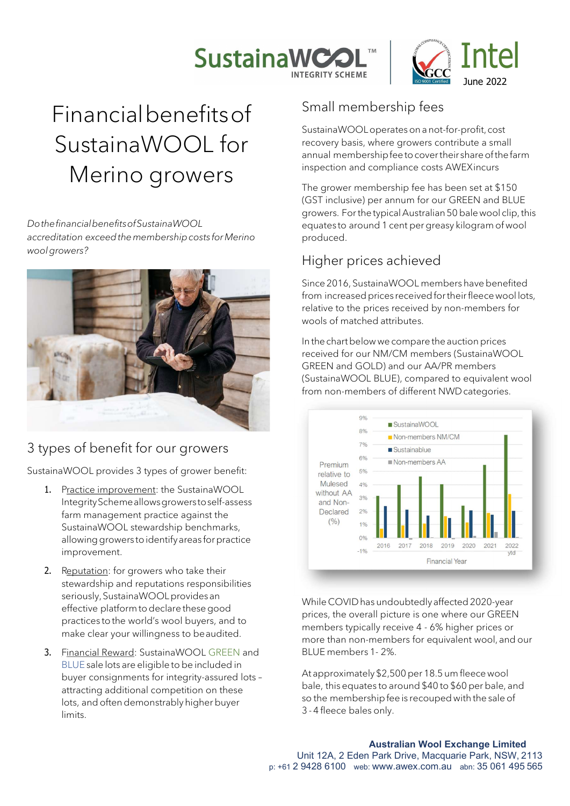



# Financial benefits of SustainaWOOL for Merino growers

Do the financial benefits of SustainaWOOL accreditation exceed the membership costs for Merino wool growers?



## 3 types of benefit for our growers

SustainaWOOL provides 3 types of grower benefit:

- 1. Practice improvement: the SustainaWOOL Integrity Scheme allows growers to self-assess farm management practice against the SustainaWOOL stewardship benchmarks, allowing growers to identify areas for practice improvement.
- 2. Reputation: for growers who take their stewardship and reputations responsibilities seriously, SustainaWOOL provides an effective platform to declare these good practices to the world's wool buyers, and to make clear your willingness to be audited.
- 3. Financial Reward: SustainaWOOL GREEN and BLUE sale lots are eligible to be included in buyer consignments for integrity-assured lots – attracting additional competition on these lots, and often demonstrably higher buyer limits.

## Small membership fees

SustainaWOOL operates on a not-for-profit, cost recovery basis, where growers contribute a small annual membership fee to cover their share of the farm inspection and compliance costs AWEX incurs

The grower membership fee has been set at \$150 (GST inclusive) per annum for our GREEN and BLUE growers. For the typical Australian 50 bale wool clip, this equates to around 1 cent per greasy kilogram of wool produced.

#### Higher prices achieved

Since 2016, SustainaWOOL members have benefited from increased prices received for their fleece wool lots, relative to the prices received by non-members for wools of matched attributes.

In the chart below we compare the auction prices received for our NM/CM members (SustainaWOOL GREEN and GOLD) and our AA/PR members (SustainaWOOL BLUE), compared to equivalent wool from non-members of different NWD categories.



While COVID has undoubtedly affected 2020-year prices, the overall picture is one where our GREEN members typically receive 4 - 6% higher prices or more than non-members for equivalent wool, and our BLUE members 1- 2%.

At approximately \$2,500 per 18.5 um fleece wool bale, this equates to around \$40 to \$60 per bale, and so the membership fee is recouped with the sale of 3 - 4 fleece bales only.